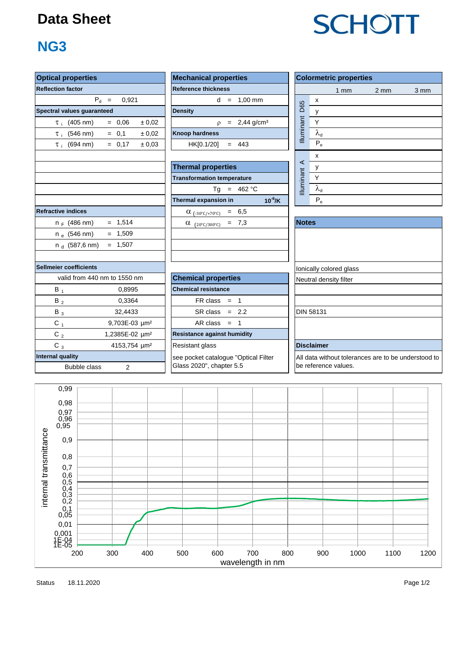#### **Data Sheet**

### **NG3**

| <b>Optical properties</b>               |                              | <b>Mechanical properties</b>                                     | <b>Colormetric properties</b> |                         |                                                  |      |  |  |  |  |  |
|-----------------------------------------|------------------------------|------------------------------------------------------------------|-------------------------------|-------------------------|--------------------------------------------------|------|--|--|--|--|--|
| <b>Reflection factor</b>                |                              | <b>Reference thickness</b>                                       |                               | 1mm                     | 2 <sub>mm</sub>                                  | 3 mm |  |  |  |  |  |
|                                         | $P_d =$<br>0.921             | $d = 1.00$ mm                                                    |                               | x                       |                                                  |      |  |  |  |  |  |
| Spectral values guaranteed              |                              | <b>Density</b>                                                   | D65                           | y                       |                                                  |      |  |  |  |  |  |
| $\tau$ (405 nm)                         | $= 0,06$<br>± 0.02           | $\rho = 2,44 \text{ g/cm}^3$                                     | Illuminant                    | $\sf Y$                 |                                                  |      |  |  |  |  |  |
| $\tau_i$ (546 nm)                       | $= 0.1$<br>± 0.02            | <b>Knoop hardness</b>                                            |                               | $\lambda_{d}$           |                                                  |      |  |  |  |  |  |
| $\tau_i$ (694 nm)                       | ± 0,03<br>$= 0.17$           | HK[0.1/20]<br>$= 443$                                            |                               | $P_e$                   |                                                  |      |  |  |  |  |  |
|                                         |                              |                                                                  |                               | $\pmb{\mathsf{x}}$      |                                                  |      |  |  |  |  |  |
|                                         |                              | <b>Thermal properties</b>                                        | $\prec$                       | у                       |                                                  |      |  |  |  |  |  |
|                                         |                              | <b>Transformation temperature</b>                                | Illuminant                    | Y                       |                                                  |      |  |  |  |  |  |
|                                         |                              | Tg = $462 °C$                                                    |                               | $\lambda_{\rm d}$       |                                                  |      |  |  |  |  |  |
|                                         |                              | $10^{-6}$ /K<br>Thermal expansion in                             |                               | $P_e$                   |                                                  |      |  |  |  |  |  |
| <b>Refractive indices</b>               |                              | $\alpha_{(-30^{\circ}C/+70^{\circ}C)} = 6,5$                     |                               |                         |                                                  |      |  |  |  |  |  |
| $n_F$ (486 nm)                          | $= 1,514$                    | $= 7,3$<br>$\alpha$ (20°C/300°C)                                 | <b>Notes</b>                  |                         |                                                  |      |  |  |  |  |  |
| $n_e$ (546 nm)                          | $= 1,509$                    |                                                                  |                               |                         |                                                  |      |  |  |  |  |  |
| $n_d$ (587,6 nm)                        | $= 1,507$                    |                                                                  |                               |                         |                                                  |      |  |  |  |  |  |
|                                         |                              |                                                                  |                               |                         |                                                  |      |  |  |  |  |  |
| Sellmeier coefficients                  |                              |                                                                  |                               | Ionically colored glass |                                                  |      |  |  |  |  |  |
|                                         | valid from 440 nm to 1550 nm | <b>Chemical properties</b>                                       |                               | Neutral density filter  |                                                  |      |  |  |  |  |  |
| $B_1$                                   | 0,8995                       | <b>Chemical resistance</b>                                       |                               |                         |                                                  |      |  |  |  |  |  |
| $B_2$                                   | 0,3364                       | $FR \text{ class } = 1$                                          |                               |                         |                                                  |      |  |  |  |  |  |
| $B_3$                                   | 32,4433                      | $SR class = 2.2$                                                 |                               | <b>DIN 58131</b>        |                                                  |      |  |  |  |  |  |
| $C_{1}$                                 | 9,703E-03 µm <sup>2</sup>    | $AR class = 1$                                                   |                               |                         |                                                  |      |  |  |  |  |  |
| $C_2$                                   | 1,2385E-02 µm <sup>2</sup>   | <b>Resistance against humidity</b>                               |                               |                         |                                                  |      |  |  |  |  |  |
| $C_3$                                   | 4153,754 µm <sup>2</sup>     | Resistant glass                                                  |                               | <b>Disclaimer</b>       |                                                  |      |  |  |  |  |  |
| <b>Internal quality</b><br>Bubble class | $\overline{2}$               | see pocket catalogue "Optical Filter<br>Glass 2020", chapter 5.5 |                               | be reference values.    | All data without tolerances are to be understood |      |  |  |  |  |  |

| roperties                      | <b>Mechanical properties</b>        | <b>Colorm</b>     |
|--------------------------------|-------------------------------------|-------------------|
| actor                          | <b>Reference thickness</b>          |                   |
| $P_{d}$ =<br>0.921             | $= 1,00 \text{ mm}$<br><sub>d</sub> | X                 |
| lues guaranteed                | <b>Density</b>                      | D65<br>v          |
| (405 nm)<br>± 0.02<br>$= 0.06$ | $= 2,44$ g/cm <sup>3</sup>          | <u>Iluminant</u>  |
| (546 nm)<br>$= 0.1$<br>± 0.02  | <b>Knoop hardness</b>               | $\lambda_{\sf d}$ |
| (694 nm)<br>$= 0.17$<br>± 0.03 | HK[0.1/20]<br>$= 443$               | $P_e$             |
|                                |                                     |                   |

| <b>Thermal properties</b>               | ◅                 |    |
|-----------------------------------------|-------------------|----|
| <b>Transformation temperature</b>       |                   |    |
| Tg = $462 °C$                           | <b>Illuminant</b> |    |
| $10^{-6}$ /K<br>Thermal expansion in    |                   | P, |
| 6,5<br>$\alpha$ (-30°C/+70°C) =         |                   |    |
| $(20^{\circ}C/300^{\circ}C) = 7,3$<br>α | <b>Notes</b>      |    |
|                                         |                   |    |
|                                         |                   |    |

| tive indices            |                              | $\alpha$ (-30°C/+70°C)<br>6.O                        |                   |
|-------------------------|------------------------------|------------------------------------------------------|-------------------|
| $n_F$ (486 nm)          | $= 1,514$                    | 7,3<br>α<br>$=$<br>$(20^{\circ}$ C/300 $^{\circ}$ C) | <b>Notes</b>      |
| $n_e$ (546 nm)          | $= 1,509$                    |                                                      |                   |
| n $_{\rm d}$ (587,6 nm) | $= 1,507$                    |                                                      |                   |
|                         |                              |                                                      |                   |
| ier coefficients        |                              |                                                      | lonically cold    |
|                         | valid from 440 nm to 1550 nm | <b>Chemical properties</b>                           | Neutral dens      |
| B,                      | 0,8995                       | <b>Chemical resistance</b>                           |                   |
| $B_2$                   | 0,3364                       | $FR \text{ class } = 1$                              |                   |
| $B_3$                   | 32,4433                      | $SR class = 2.2$                                     | <b>DIN 58131</b>  |
| $C_{1}$                 | 9,703E-03 um <sup>2</sup>    | AR class<br>$\overline{\phantom{0}}$<br>$=$          |                   |
| $C_2$                   | 1,2385E-02 µm <sup>2</sup>   | <b>Resistance against humidity</b>                   |                   |
| $C_3$                   | 4153,754 um <sup>2</sup>     | Resistant glass                                      | <b>Disclaimer</b> |
| al quality              |                              | see pocket catalogue "Optical Filter                 | All data with     |
| <b>Bubble class</b>     | $\overline{2}$               | Glass 2020", chapter 5.5                             | be reference      |

| <b>Colormetric properties</b> |                      |     |                  |      |  |  |  |  |  |
|-------------------------------|----------------------|-----|------------------|------|--|--|--|--|--|
|                               |                      | 1mm | $2 \, \text{mm}$ | 3 mm |  |  |  |  |  |
|                               | x                    |     |                  |      |  |  |  |  |  |
| Illuminant D65                | у                    |     |                  |      |  |  |  |  |  |
|                               | Y                    |     |                  |      |  |  |  |  |  |
|                               | $\lambda_{\sf d}$    |     |                  |      |  |  |  |  |  |
|                               | $P_e$                |     |                  |      |  |  |  |  |  |
|                               | x                    |     |                  |      |  |  |  |  |  |
|                               | у                    |     |                  |      |  |  |  |  |  |
| Illuminant A                  | Y                    |     |                  |      |  |  |  |  |  |
|                               | $\lambda_{\text{d}}$ |     |                  |      |  |  |  |  |  |
|                               | $\mathsf{P}_{\rm e}$ |     |                  |      |  |  |  |  |  |

| <b>Notes</b>                                                                |
|-----------------------------------------------------------------------------|
|                                                                             |
|                                                                             |
|                                                                             |
| Ionically colored glass                                                     |
| Neutral density filter                                                      |
|                                                                             |
|                                                                             |
| <b>DIN 58131</b>                                                            |
|                                                                             |
|                                                                             |
| <b>Disclaimer</b>                                                           |
| All data without tolerances are to be understood to<br>be reference values. |



Status Page 1/2 18.11.2020

# **SCHOTT**